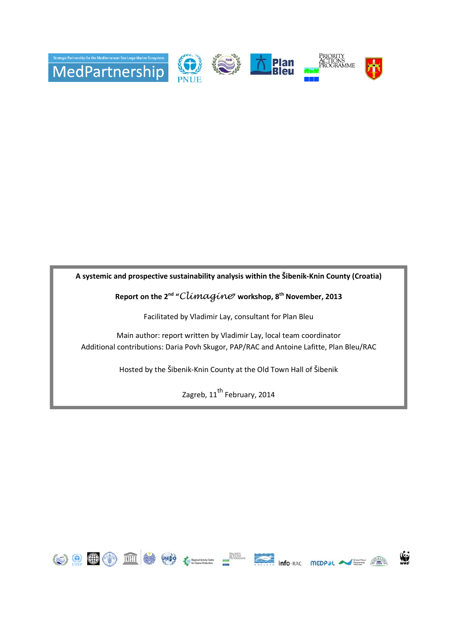

**A systemic and prospective sustainability analysis within the Šibenik-Knin County (Croatia)**

**Report on the 2nd "**Climagine**" workshop, 8th November, 2013** 

Facilitated by Vladimir Lay, consultant for Plan Bleu

Main author: report written by Vladimir Lay, local team coordinator Additional contributions: Daria Povh Skugor, PAP/RAC and Antoine Lafitte, Plan Bleu/RAC

Hosted by the Šibenik-Knin County at the Old Town Hall of Šibenik

Zagreb,  $11^{\text{th}}$  February, 2014

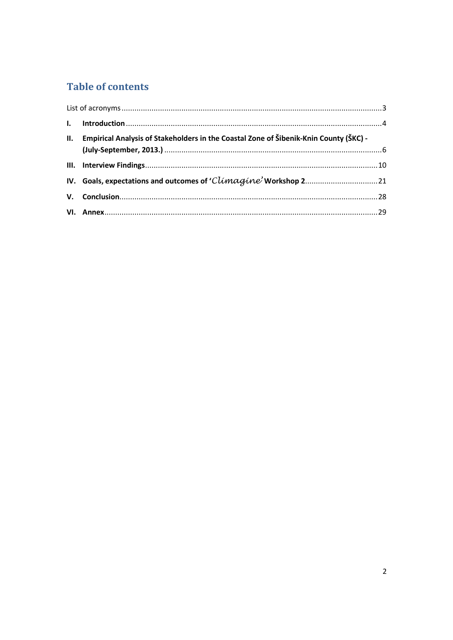# **Table of contents**

| II. | Empirical Analysis of Stakeholders in the Coastal Zone of Šibenik-Knin County (ŠKC) - |  |
|-----|---------------------------------------------------------------------------------------|--|
|     |                                                                                       |  |
|     |                                                                                       |  |
|     |                                                                                       |  |
|     |                                                                                       |  |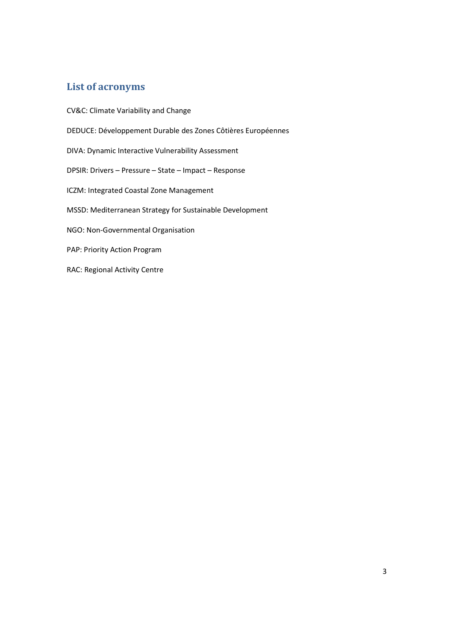# **List of acronyms**

CV&C: Climate Variability and Change DEDUCE: Développement Durable des Zones Côtières Européennes DIVA: Dynamic Interactive Vulnerability Assessment DPSIR: Drivers – Pressure – State – Impact – Response ICZM: Integrated Coastal Zone Management MSSD: Mediterranean Strategy for Sustainable Development NGO: Non-Governmental Organisation PAP: Priority Action Program RAC: Regional Activity Centre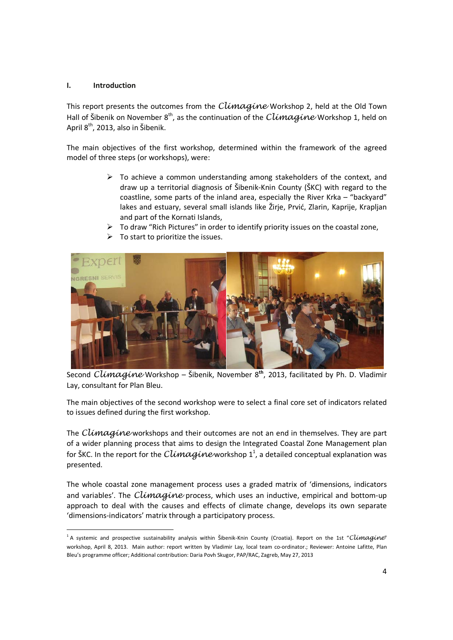## **I. Introduction**

<u>.</u>

This report presents the outcomes from the Climagine Workshop 2, held at the Old Town Hall of Šibenik on November  $8<sup>th</sup>$ , as the continuation of the Climagine Workshop 1, held on April 8<sup>th</sup>, 2013, also in Šibenik.

The main objectives of the first workshop, determined within the framework of the agreed model of three steps (or workshops), were:

- $\triangleright$  To achieve a common understanding among stakeholders of the context, and draw up a territorial diagnosis of Šibenik-Knin County (ŠKC) with regard to the coastline, some parts of the inland area, especially the River Krka – "backyard" lakes and estuary, several small islands like Žirje, Prvić, Zlarin, Kaprije, Krapljan and part of the Kornati Islands,
- $\triangleright$  To draw "Rich Pictures" in order to identify priority issues on the coastal zone,
- $\triangleright$  To start to prioritize the issues.



Second Climagine Workshop – Šibenik, November 8**th**, 2013, facilitated by Ph. D. Vladimir Lay, consultant for Plan Bleu.

The main objectives of the second workshop were to select a final core set of indicators related to issues defined during the first workshop.

The  $Climaqine$  workshops and their outcomes are not an end in themselves. They are part of a wider planning process that aims to design the Integrated Coastal Zone Management plan for ŠKC. In the report for the  $Climaqine$  workshop  $1^1$ , a detailed conceptual explanation was presented.

The whole coastal zone management process uses a graded matrix of 'dimensions, indicators and variables'. The  $Climaqine$  process, which uses an inductive, empirical and bottom-up approach to deal with the causes and effects of climate change, develops its own separate 'dimensions-indicators' matrix through a participatory process.

<sup>&</sup>lt;sup>1</sup> A systemic and prospective sustainability analysis within Šibenik-Knin County (Croatia). Report on the 1st "Climagine" workshop, April 8, 2013. Main author: report written by Vladimir Lay, local team co-ordinator.; Reviewer: Antoine Lafitte, Plan Bleu's programme officer; Additional contribution: Daria Povh Skugor, PAP/RAC, Zagreb, May 27, 2013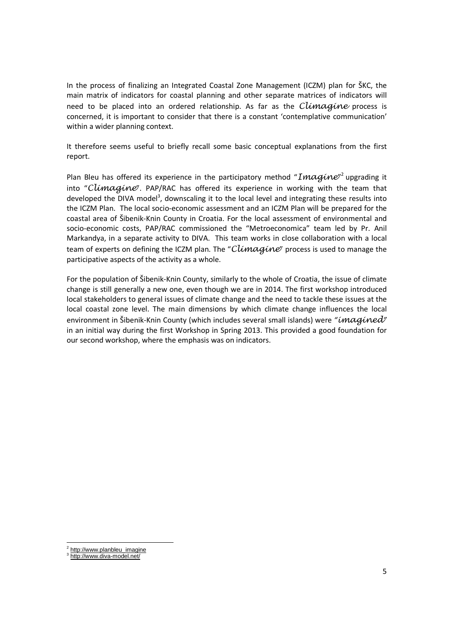In the process of finalizing an Integrated Coastal Zone Management (ICZM) plan for ŠKC, the main matrix of indicators for coastal planning and other separate matrices of indicators will need to be placed into an ordered relationship. As far as the  $Climaqine$  process is concerned, it is important to consider that there is a constant 'contemplative communication' within a wider planning context.

It therefore seems useful to briefly recall some basic conceptual explanations from the first report.

Plan Bleu has offered its experience in the participatory method " $\bm{Image}^2$  upgrading it into "Climagine". PAP/RAC has offered its experience in working with the team that developed the DIVA model<sup>3</sup>, downscaling it to the local level and integrating these results into the ICZM Plan. The local socio-economic assessment and an ICZM Plan will be prepared for the coastal area of Šibenik-Knin County in Croatia. For the local assessment of environmental and socio-economic costs, PAP/RAC commissioned the "Metroeconomica" team led by Pr. Anil Markandya, in a separate activity to DIVA. This team works in close collaboration with a local team of experts on defining the ICZM plan. The "Climagine" process is used to manage the participative aspects of the activity as a whole.

For the population of Šibenik-Knin County, similarly to the whole of Croatia, the issue of climate change is still generally a new one, even though we are in 2014. The first workshop introduced local stakeholders to general issues of climate change and the need to tackle these issues at the local coastal zone level. The main dimensions by which climate change influences the local environment in Šibenik-Knin County (which includes several small islands) were "imagined" in an initial way during the first Workshop in Spring 2013. This provided a good foundation for our second workshop, where the emphasis was on indicators.

 2 http://www.planbleu\_imagine

<sup>3</sup> http://www.diva-model.net/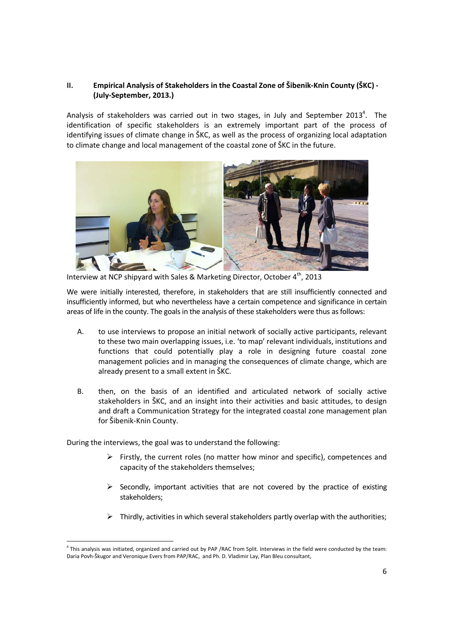# **II. Empirical Analysis of Stakeholders in the Coastal Zone of Šibenik-Knin County (ŠKC) - (July-September, 2013.)**

Analysis of stakeholders was carried out in two stages, in July and September 2013<sup>4</sup>. The identification of specific stakeholders is an extremely important part of the process of identifying issues of climate change in ŠKC, as well as the process of organizing local adaptation to climate change and local management of the coastal zone of ŠKC in the future.



Interview at NCP shipyard with Sales & Marketing Director, October 4<sup>th</sup>, 2013

We were initially interested, therefore, in stakeholders that are still insufficiently connected and insufficiently informed, but who nevertheless have a certain competence and significance in certain areas of life in the county. The goals in the analysis of these stakeholders were thus as follows:

- A. to use interviews to propose an initial network of socially active participants, relevant to these two main overlapping issues, i.e. 'to map' relevant individuals, institutions and functions that could potentially play a role in designing future coastal zone management policies and in managing the consequences of climate change, which are already present to a small extent in ŠKC.
- B. then, on the basis of an identified and articulated network of socially active stakeholders in ŠKC, and an insight into their activities and basic attitudes, to design and draft a Communication Strategy for the integrated coastal zone management plan for Šibenik-Knin County.

During the interviews, the goal was to understand the following:

<u>.</u>

- $\triangleright$  Firstly, the current roles (no matter how minor and specific), competences and capacity of the stakeholders themselves;
- $\triangleright$  Secondly, important activities that are not covered by the practice of existing stakeholders;
- $\triangleright$  Thirdly, activities in which several stakeholders partly overlap with the authorities;

<sup>&</sup>lt;sup>4</sup> This analysis was initiated, organized and carried out by PAP /RAC from Split. Interviews in the field were conducted by the team: Daria Povh-Škugor and Veronique Evers from PAP/RAC, and Ph. D. Vladimir Lay, Plan Bleu consultant,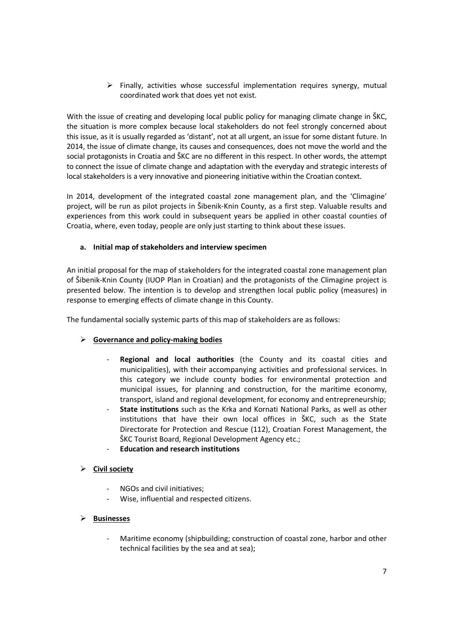$\triangleright$  Finally, activities whose successful implementation requires synergy, mutual coordinated work that does yet not exist.

With the issue of creating and developing local public policy for managing climate change in SKC, the situation is more complex because local stakeholders do not feel strongly concerned about this issue, as it is usually regarded as 'distant', not at all urgent, an issue for some distant future. In 2014, the issue of climate change, its causes and consequences, does not move the world and the social protagonists in Croatia and ŠKC are no different in this respect. In other words, the attempt to connect the issue of climate change and adaptation with the everyday and strategic interests of local stakeholders is a very innovative and pioneering initiative within the Croatian context.

In 2014, development of the integrated coastal zone management plan, and the 'Climagine' project, will be run as pilot projects in Šibenik-Knin County, as a first step. Valuable results and experiences from this work could in subsequent years be applied in other coastal counties of Croatia, where, even today, people are only just starting to think about these issues.

# **a. Initial map of stakeholders and interview specimen**

An initial proposal for the map of stakeholders for the integrated coastal zone management plan of Šibenik-Knin County (IUOP Plan in Croatian) and the protagonists of the Climagine project is presented below. The intention is to develop and strengthen local public policy (measures) in response to emerging effects of climate change in this County.

The fundamental socially systemic parts of this map of stakeholders are as follows:

## **Governance and policy-making bodies**

- **Regional and local authorities** (the County and its coastal cities and municipalities), with their accompanying activities and professional services. In this category we include county bodies for environmental protection and municipal issues, for planning and construction, for the maritime economy, transport, island and regional development, for economy and entrepreneurship;
- **State institutions** such as the Krka and Kornati National Parks, as well as other institutions that have their own local offices in ŠKC, such as the State Directorate for Protection and Rescue (112), Croatian Forest Management, the ŠKC Tourist Board, Regional Development Agency etc.;
- **Education and research institutions**
- **Civil society** 
	- NGOs and civil initiatives;
	- Wise, influential and respected citizens.

# **Businesses**

- Maritime economy (shipbuilding; construction of coastal zone, harbor and other technical facilities by the sea and at sea);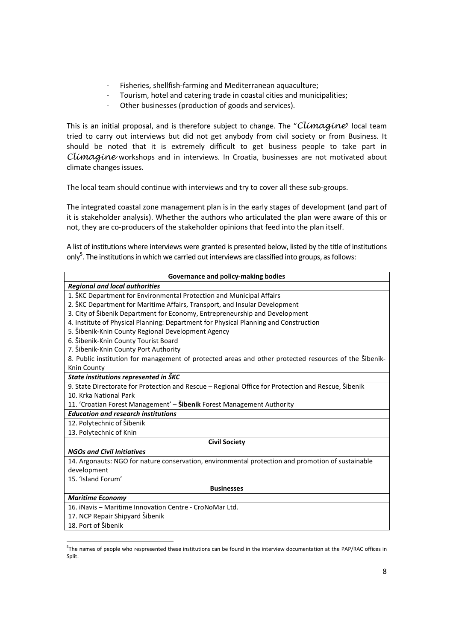- Fisheries, shellfish-farming and Mediterranean aquaculture;
- Tourism, hotel and catering trade in coastal cities and municipalities;
- Other businesses (production of goods and services).

This is an initial proposal, and is therefore subject to change. The "Climagine" local team tried to carry out interviews but did not get anybody from civil society or from Business. It should be noted that it is extremely difficult to get business people to take part in Climagine workshops and in interviews. In Croatia, businesses are not motivated about climate changes issues.

The local team should continue with interviews and try to cover all these sub-groups.

The integrated coastal zone management plan is in the early stages of development (and part of it is stakeholder analysis). Whether the authors who articulated the plan were aware of this or not, they are co-producers of the stakeholder opinions that feed into the plan itself.

A list of institutions where interviews were granted is presented below, listed by the title of institutions only**<sup>5</sup>** . The institutions in which we carried out interviews are classified into groups, as follows:

| Governance and policy-making bodies                                                                   |  |  |  |  |
|-------------------------------------------------------------------------------------------------------|--|--|--|--|
| <b>Regional and local authorities</b>                                                                 |  |  |  |  |
| 1. ŠKC Department for Environmental Protection and Municipal Affairs                                  |  |  |  |  |
| 2. ŠKC Department for Maritime Affairs, Transport, and Insular Development                            |  |  |  |  |
| 3. City of Šibenik Department for Economy, Entrepreneurship and Development                           |  |  |  |  |
| 4. Institute of Physical Planning: Department for Physical Planning and Construction                  |  |  |  |  |
| 5. Šibenik-Knin County Regional Development Agency                                                    |  |  |  |  |
| 6. Šibenik-Knin County Tourist Board                                                                  |  |  |  |  |
| 7. Šibenik-Knin County Port Authority                                                                 |  |  |  |  |
| 8. Public institution for management of protected areas and other protected resources of the Šibenik- |  |  |  |  |
| Knin County                                                                                           |  |  |  |  |
| State institutions represented in ŠKC                                                                 |  |  |  |  |
| 9. State Directorate for Protection and Rescue - Regional Office for Protection and Rescue, Šibenik   |  |  |  |  |
| 10. Krka National Park                                                                                |  |  |  |  |
| 11. 'Croatian Forest Management' - Šibenik Forest Management Authority                                |  |  |  |  |
| <b>Education and research institutions</b>                                                            |  |  |  |  |
| 12. Polytechnic of Šibenik                                                                            |  |  |  |  |
| 13. Polytechnic of Knin                                                                               |  |  |  |  |
| <b>Civil Society</b>                                                                                  |  |  |  |  |
| <b>NGOs and Civil Initiatives</b>                                                                     |  |  |  |  |
| 14. Argonauts: NGO for nature conservation, environmental protection and promotion of sustainable     |  |  |  |  |
| development                                                                                           |  |  |  |  |
| 15. 'Island Forum'                                                                                    |  |  |  |  |
| <b>Businesses</b>                                                                                     |  |  |  |  |
| <b>Maritime Economy</b>                                                                               |  |  |  |  |
| 16. iNavis - Maritime Innovation Centre - CroNoMar Ltd.                                               |  |  |  |  |
| 17. NCP Repair Shipyard Šibenik                                                                       |  |  |  |  |
| 18. Port of Šibenik                                                                                   |  |  |  |  |
|                                                                                                       |  |  |  |  |
|                                                                                                       |  |  |  |  |

<sup>&</sup>lt;sup>5</sup>The names of people who respresented these institutions can be found in the interview documentation at the PAP/RAC offices in Split.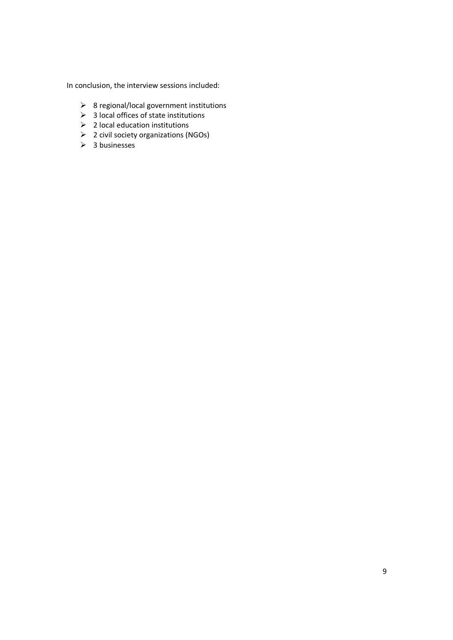In conclusion, the interview sessions included:

- 8 regional/local government institutions
- $\geqslant$  3 local offices of state institutions
- $\geqslant$  2 local education institutions
- 2 civil society organizations (NGOs)
- $\geq$  3 businesses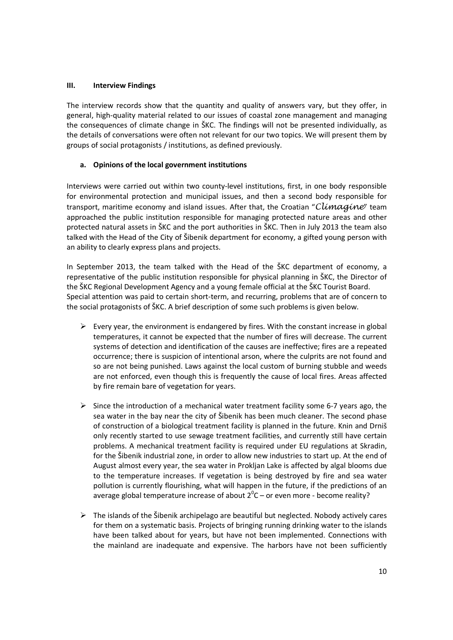## **III. Interview Findings**

The interview records show that the quantity and quality of answers vary, but they offer, in general, high-quality material related to our issues of coastal zone management and managing the consequences of climate change in ŠKC. The findings will not be presented individually, as the details of conversations were often not relevant for our two topics. We will present them by groups of social protagonists / institutions, as defined previously.

#### **a. Opinions of the local government institutions**

Interviews were carried out within two county-level institutions, first, in one body responsible for environmental protection and municipal issues, and then a second body responsible for transport, maritime economy and island issues. After that, the Croatian "Climagine" team approached the public institution responsible for managing protected nature areas and other protected natural assets in ŠKC and the port authorities in ŠKC. Then in July 2013 the team also talked with the Head of the City of Šibenik department for economy, a gifted young person with an ability to clearly express plans and projects.

In September 2013, the team talked with the Head of the ŠKC department of economy, a representative of the public institution responsible for physical planning in ŠKC, the Director of the ŠKC Regional Development Agency and a young female official at the ŠKC Tourist Board. Special attention was paid to certain short-term, and recurring, problems that are of concern to the social protagonists of ŠKC. A brief description of some such problems is given below.

- $\triangleright$  Every year, the environment is endangered by fires. With the constant increase in global temperatures, it cannot be expected that the number of fires will decrease. The current systems of detection and identification of the causes are ineffective; fires are a repeated occurrence; there is suspicion of intentional arson, where the culprits are not found and so are not being punished. Laws against the local custom of burning stubble and weeds are not enforced, even though this is frequently the cause of local fires. Areas affected by fire remain bare of vegetation for years.
- $\triangleright$  Since the introduction of a mechanical water treatment facility some 6-7 years ago, the sea water in the bay near the city of Šibenik has been much cleaner. The second phase of construction of a biological treatment facility is planned in the future. Knin and Drniš only recently started to use sewage treatment facilities, and currently still have certain problems. A mechanical treatment facility is required under EU regulations at Skradin, for the Šibenik industrial zone, in order to allow new industries to start up. At the end of August almost every year, the sea water in Prokljan Lake is affected by algal blooms due to the temperature increases. If vegetation is being destroyed by fire and sea water pollution is currently flourishing, what will happen in the future, if the predictions of an average global temperature increase of about  $2^{0}$ C – or even more - become reality?
- $\triangleright$  The islands of the Šibenik archipelago are beautiful but neglected. Nobody actively cares for them on a systematic basis. Projects of bringing running drinking water to the islands have been talked about for years, but have not been implemented. Connections with the mainland are inadequate and expensive. The harbors have not been sufficiently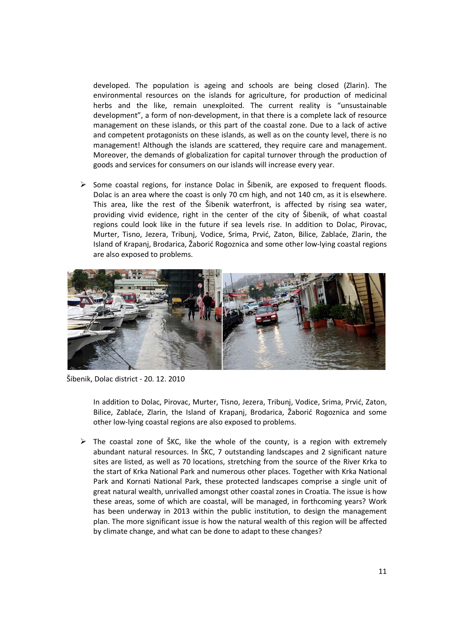developed. The population is ageing and schools are being closed (Zlarin). The environmental resources on the islands for agriculture, for production of medicinal herbs and the like, remain unexploited. The current reality is "unsustainable development", a form of non-development, in that there is a complete lack of resource management on these islands, or this part of the coastal zone. Due to a lack of active and competent protagonists on these islands, as well as on the county level, there is no management! Although the islands are scattered, they require care and management. Moreover, the demands of globalization for capital turnover through the production of goods and services for consumers on our islands will increase every year.

 $\triangleright$  Some coastal regions, for instance Dolac in Šibenik, are exposed to frequent floods. Dolac is an area where the coast is only 70 cm high, and not 140 cm, as it is elsewhere. This area, like the rest of the Šibenik waterfront, is affected by rising sea water, providing vivid evidence, right in the center of the city of Šibenik, of what coastal regions could look like in the future if sea levels rise. In addition to Dolac, Pirovac, Murter, Tisno, Jezera, Tribunj, Vodice, Srima, Prvić, Zaton, Bilice, Zablaće, Zlarin, the Island of Krapanj, Brodarica, Žaborić Rogoznica and some other low-lying coastal regions are also exposed to problems.



Šibenik, Dolac district - 20. 12. 2010

In addition to Dolac, Pirovac, Murter, Tisno, Jezera, Tribunj, Vodice, Srima, Prvić, Zaton, Bilice, Zablaće, Zlarin, the Island of Krapanj, Brodarica, Žaborić Rogoznica and some other low-lying coastal regions are also exposed to problems.

 $\triangleright$  The coastal zone of ŠKC, like the whole of the county, is a region with extremely abundant natural resources. In ŠKC, 7 outstanding landscapes and 2 significant nature sites are listed, as well as 70 locations, stretching from the source of the River Krka to the start of Krka National Park and numerous other places. Together with Krka National Park and Kornati National Park, these protected landscapes comprise a single unit of great natural wealth, unrivalled amongst other coastal zones in Croatia. The issue is how these areas, some of which are coastal, will be managed, in forthcoming years? Work has been underway in 2013 within the public institution, to design the management plan. The more significant issue is how the natural wealth of this region will be affected by climate change, and what can be done to adapt to these changes?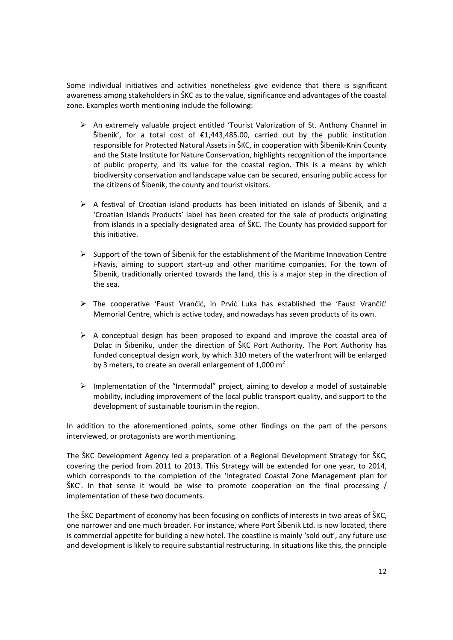Some individual initiatives and activities nonetheless give evidence that there is significant awareness among stakeholders in ŠKC as to the value, significance and advantages of the coastal zone. Examples worth mentioning include the following:

- $\triangleright$  An extremely valuable project entitled 'Tourist Valorization of St. Anthony Channel in Šibenik', for a total cost of  $£1,443,485.00$ , carried out by the public institution responsible for Protected Natural Assets in ŠKC, in cooperation with Šibenik-Knin County and the State Institute for Nature Conservation, highlights recognition of the importance of public property, and its value for the coastal region. This is a means by which biodiversity conservation and landscape value can be secured, ensuring public access for the citizens of Šibenik, the county and tourist visitors.
- $\triangleright$  A festival of Croatian island products has been initiated on islands of Šibenik, and a 'Croatian Islands Products' label has been created for the sale of products originating from islands in a specially-designated area of ŠKC. The County has provided support for this initiative.
- $\triangleright$  Support of the town of Šibenik for the establishment of the Maritime Innovation Centre i-Navis, aiming to support start-up and other maritime companies. For the town of Šibenik, traditionally oriented towards the land, this is a major step in the direction of the sea.
- $\triangleright$  The cooperative 'Faust Vrančić, in Prvić Luka has established the 'Faust Vrančić' Memorial Centre, which is active today, and nowadays has seven products of its own.
- $\triangleright$  A conceptual design has been proposed to expand and improve the coastal area of Dolac in Šibeniku, under the direction of ŠKC Port Authority. The Port Authority has funded conceptual design work, by which 310 meters of the waterfront will be enlarged by 3 meters, to create an overall enlargement of 1,000  $m^2$
- $\triangleright$  Implementation of the "Intermodal" project, aiming to develop a model of sustainable mobility, including improvement of the local public transport quality, and support to the development of sustainable tourism in the region.

In addition to the aforementioned points, some other findings on the part of the persons interviewed, or protagonists are worth mentioning.

The ŠKC Development Agency led a preparation of a Regional Development Strategy for ŠKC, covering the period from 2011 to 2013. This Strategy will be extended for one year, to 2014, which corresponds to the completion of the 'Integrated Coastal Zone Management plan for ŠKC'. In that sense it would be wise to promote cooperation on the final processing / implementation of these two documents.

The ŠKC Department of economy has been focusing on conflicts of interests in two areas of ŠKC, one narrower and one much broader. For instance, where Port Šibenik Ltd. is now located, there is commercial appetite for building a new hotel. The coastline is mainly 'sold out', any future use and development is likely to require substantial restructuring. In situations like this, the principle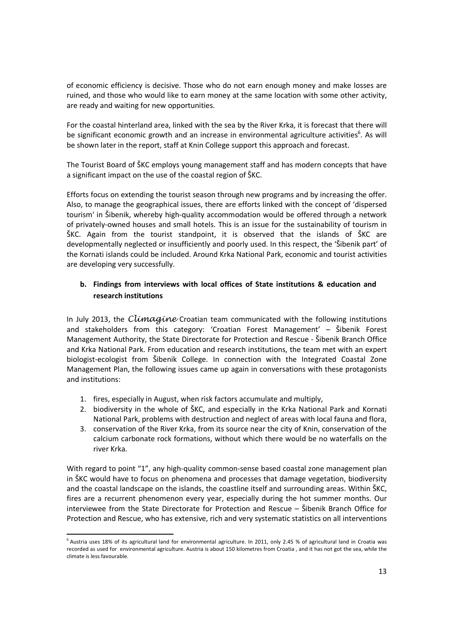of economic efficiency is decisive. Those who do not earn enough money and make losses are ruined, and those who would like to earn money at the same location with some other activity, are ready and waiting for new opportunities.

For the coastal hinterland area, linked with the sea by the River Krka, it is forecast that there will be significant economic growth and an increase in environmental agriculture activities<sup>6</sup>. As will be shown later in the report, staff at Knin College support this approach and forecast.

The Tourist Board of ŠKC employs young management staff and has modern concepts that have a significant impact on the use of the coastal region of ŠKC.

Efforts focus on extending the tourist season through new programs and by increasing the offer. Also, to manage the geographical issues, there are efforts linked with the concept of 'dispersed tourism' in Šibenik, whereby high-quality accommodation would be offered through a network of privately-owned houses and small hotels. This is an issue for the sustainability of tourism in ŠKC. Again from the tourist standpoint, it is observed that the islands of ŠKC are developmentally neglected or insufficiently and poorly used. In this respect, the 'Šibenik part' of the Kornati islands could be included. Around Krka National Park, economic and tourist activities are developing very successfully.

# **b. Findings from interviews with local offices of State institutions & education and research institutions**

In July 2013, the *Climagine* Croatian team communicated with the following institutions and stakeholders from this category: 'Croatian Forest Management' – Šibenik Forest Management Authority, the State Directorate for Protection and Rescue - Šibenik Branch Office and Krka National Park. From education and research institutions, the team met with an expert biologist-ecologist from Šibenik College. In connection with the Integrated Coastal Zone Management Plan, the following issues came up again in conversations with these protagonists and institutions:

1. fires, especially in August, when risk factors accumulate and multiply,

<u>.</u>

- 2. biodiversity in the whole of ŠKC, and especially in the Krka National Park and Kornati National Park, problems with destruction and neglect of areas with local fauna and flora,
- 3. conservation of the River Krka, from its source near the city of Knin, conservation of the calcium carbonate rock formations, without which there would be no waterfalls on the river Krka.

With regard to point "1", any high-quality common-sense based coastal zone management plan in ŠKC would have to focus on phenomena and processes that damage vegetation, biodiversity and the coastal landscape on the islands, the coastline itself and surrounding areas. Within ŠKC, fires are a recurrent phenomenon every year, especially during the hot summer months. Our interviewee from the State Directorate for Protection and Rescue – Šibenik Branch Office for Protection and Rescue, who has extensive, rich and very systematic statistics on all interventions

<sup>&</sup>lt;sup>6</sup> Austria uses 18% of its agricultural land for environmental agriculture. In 2011, only 2.45 % of agricultural land in Croatia was recorded as used for environmental agriculture. Austria is about 150 kilometres from Croatia , and it has not got the sea, while the climate is less favourable.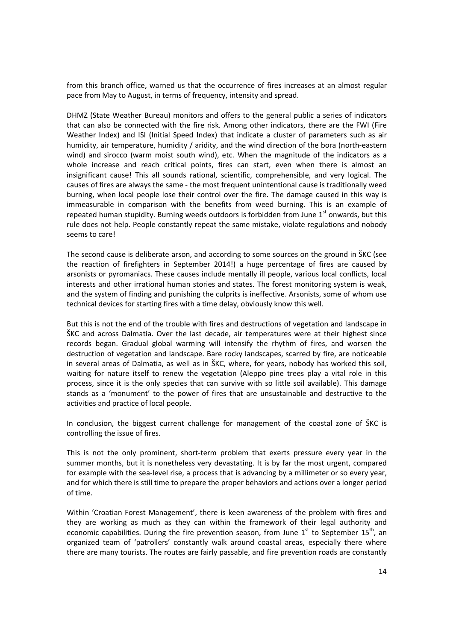from this branch office, warned us that the occurrence of fires increases at an almost regular pace from May to August, in terms of frequency, intensity and spread.

DHMZ (State Weather Bureau) monitors and offers to the general public a series of indicators that can also be connected with the fire risk. Among other indicators, there are the FWI (Fire Weather Index) and ISI (Initial Speed Index) that indicate a cluster of parameters such as air humidity, air temperature, humidity / aridity, and the wind direction of the bora (north-eastern wind) and sirocco (warm moist south wind), etc. When the magnitude of the indicators as a whole increase and reach critical points, fires can start, even when there is almost an insignificant cause! This all sounds rational, scientific, comprehensible, and very logical. The causes of fires are always the same - the most frequent unintentional cause is traditionally weed burning, when local people lose their control over the fire. The damage caused in this way is immeasurable in comparison with the benefits from weed burning. This is an example of repeated human stupidity. Burning weeds outdoors is forbidden from June  $1<sup>st</sup>$  onwards, but this rule does not help. People constantly repeat the same mistake, violate regulations and nobody seems to care!

The second cause is deliberate arson, and according to some sources on the ground in ŠKC (see the reaction of firefighters in September 2014!) a huge percentage of fires are caused by arsonists or pyromaniacs. These causes include mentally ill people, various local conflicts, local interests and other irrational human stories and states. The forest monitoring system is weak, and the system of finding and punishing the culprits is ineffective. Arsonists, some of whom use technical devices for starting fires with a time delay, obviously know this well.

But this is not the end of the trouble with fires and destructions of vegetation and landscape in ŠKC and across Dalmatia. Over the last decade, air temperatures were at their highest since records began. Gradual global warming will intensify the rhythm of fires, and worsen the destruction of vegetation and landscape. Bare rocky landscapes, scarred by fire, are noticeable in several areas of Dalmatia, as well as in ŠKC, where, for years, nobody has worked this soil, waiting for nature itself to renew the vegetation (Aleppo pine trees play a vital role in this process, since it is the only species that can survive with so little soil available). This damage stands as a 'monument' to the power of fires that are unsustainable and destructive to the activities and practice of local people.

In conclusion, the biggest current challenge for management of the coastal zone of ŠKC is controlling the issue of fires.

This is not the only prominent, short-term problem that exerts pressure every year in the summer months, but it is nonetheless very devastating. It is by far the most urgent, compared for example with the sea-level rise, a process that is advancing by a millimeter or so every year, and for which there is still time to prepare the proper behaviors and actions over a longer period of time.

Within 'Croatian Forest Management', there is keen awareness of the problem with fires and they are working as much as they can within the framework of their legal authority and economic capabilities. During the fire prevention season, from June  $1<sup>st</sup>$  to September  $15<sup>th</sup>$ , an organized team of 'patrollers' constantly walk around coastal areas, especially there where there are many tourists. The routes are fairly passable, and fire prevention roads are constantly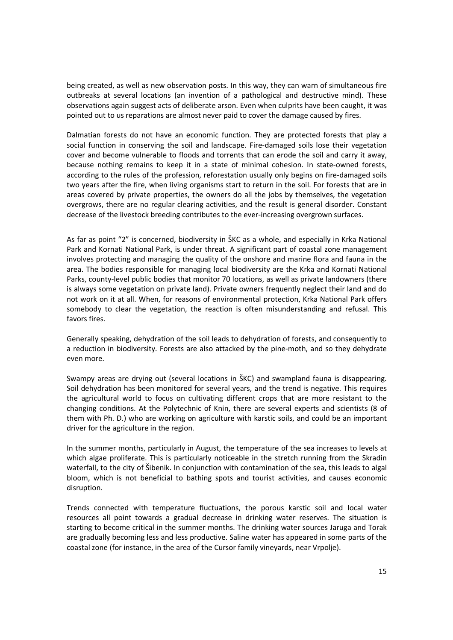being created, as well as new observation posts. In this way, they can warn of simultaneous fire outbreaks at several locations (an invention of a pathological and destructive mind). These observations again suggest acts of deliberate arson. Even when culprits have been caught, it was pointed out to us reparations are almost never paid to cover the damage caused by fires.

Dalmatian forests do not have an economic function. They are protected forests that play a social function in conserving the soil and landscape. Fire-damaged soils lose their vegetation cover and become vulnerable to floods and torrents that can erode the soil and carry it away, because nothing remains to keep it in a state of minimal cohesion. In state-owned forests, according to the rules of the profession, reforestation usually only begins on fire-damaged soils two years after the fire, when living organisms start to return in the soil. For forests that are in areas covered by private properties, the owners do all the jobs by themselves, the vegetation overgrows, there are no regular clearing activities, and the result is general disorder. Constant decrease of the livestock breeding contributes to the ever-increasing overgrown surfaces.

As far as point "2" is concerned, biodiversity in ŠKC as a whole, and especially in Krka National Park and Kornati National Park, is under threat. A significant part of coastal zone management involves protecting and managing the quality of the onshore and marine flora and fauna in the area. The bodies responsible for managing local biodiversity are the Krka and Kornati National Parks, county-level public bodies that monitor 70 locations, as well as private landowners (there is always some vegetation on private land). Private owners frequently neglect their land and do not work on it at all. When, for reasons of environmental protection, Krka National Park offers somebody to clear the vegetation, the reaction is often misunderstanding and refusal. This favors fires.

Generally speaking, dehydration of the soil leads to dehydration of forests, and consequently to a reduction in biodiversity. Forests are also attacked by the pine-moth, and so they dehydrate even more.

Swampy areas are drying out (several locations in ŠKC) and swampland fauna is disappearing. Soil dehydration has been monitored for several years, and the trend is negative. This requires the agricultural world to focus on cultivating different crops that are more resistant to the changing conditions. At the Polytechnic of Knin, there are several experts and scientists (8 of them with Ph. D.) who are working on agriculture with karstic soils, and could be an important driver for the agriculture in the region.

In the summer months, particularly in August, the temperature of the sea increases to levels at which algae proliferate. This is particularly noticeable in the stretch running from the Skradin waterfall, to the city of Šibenik. In conjunction with contamination of the sea, this leads to algal bloom, which is not beneficial to bathing spots and tourist activities, and causes economic disruption.

Trends connected with temperature fluctuations, the porous karstic soil and local water resources all point towards a gradual decrease in drinking water reserves. The situation is starting to become critical in the summer months. The drinking water sources Jaruga and Torak are gradually becoming less and less productive. Saline water has appeared in some parts of the coastal zone (for instance, in the area of the Cursor family vineyards, near Vrpolje).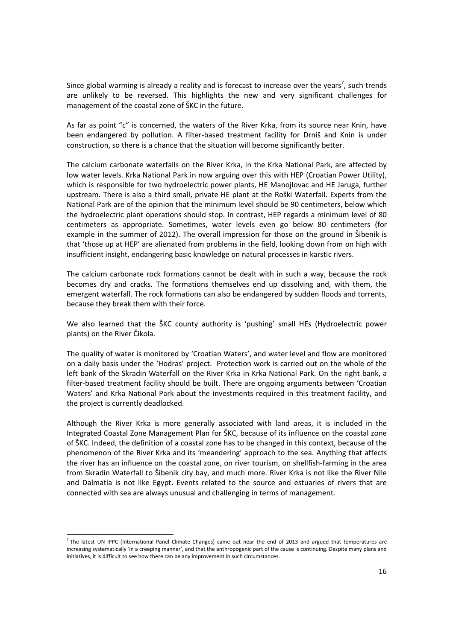Since global warming is already a reality and is forecast to increase over the years<sup>7</sup>, such trends are unlikely to be reversed. This highlights the new and very significant challenges for management of the coastal zone of ŠKC in the future.

As far as point "c" is concerned, the waters of the River Krka, from its source near Knin, have been endangered by pollution. A filter-based treatment facility for Drniš and Knin is under construction, so there is a chance that the situation will become significantly better.

The calcium carbonate waterfalls on the River Krka, in the Krka National Park, are affected by low water levels. Krka National Park in now arguing over this with HEP (Croatian Power Utility), which is responsible for two hydroelectric power plants, HE Manojlovac and HE Jaruga, further upstream. There is also a third small, private HE plant at the Roški Waterfall. Experts from the National Park are of the opinion that the minimum level should be 90 centimeters, below which the hydroelectric plant operations should stop. In contrast, HEP regards a minimum level of 80 centimeters as appropriate. Sometimes, water levels even go below 80 centimeters (for example in the summer of 2012). The overall impression for those on the ground in Šibenik is that 'those up at HEP' are alienated from problems in the field, looking down from on high with insufficient insight, endangering basic knowledge on natural processes in karstic rivers.

The calcium carbonate rock formations cannot be dealt with in such a way, because the rock becomes dry and cracks. The formations themselves end up dissolving and, with them, the emergent waterfall. The rock formations can also be endangered by sudden floods and torrents, because they break them with their force.

We also learned that the ŠKC county authority is 'pushing' small HEs (Hydroelectric power plants) on the River Čikola.

The quality of water is monitored by 'Croatian Waters', and water level and flow are monitored on a daily basis under the 'Hodras' project. Protection work is carried out on the whole of the left bank of the Skradin Waterfall on the River Krka in Krka National Park. On the right bank, a filter-based treatment facility should be built. There are ongoing arguments between 'Croatian Waters' and Krka National Park about the investments required in this treatment facility, and the project is currently deadlocked.

Although the River Krka is more generally associated with land areas, it is included in the Integrated Coastal Zone Management Plan for ŠKC, because of its influence on the coastal zone of ŠKC. Indeed, the definition of a coastal zone has to be changed in this context, because of the phenomenon of the River Krka and its 'meandering' approach to the sea. Anything that affects the river has an influence on the coastal zone, on river tourism, on shellfish-farming in the area from Skradin Waterfall to Šibenik city bay, and much more. River Krka is not like the River Nile and Dalmatia is not like Egypt. Events related to the source and estuaries of rivers that are connected with sea are always unusual and challenging in terms of management.

<u>.</u>

<sup>&</sup>lt;sup>7</sup> The latest UN IPPC (International Panel Climate Changes) came out near the end of 2013 and argued that temperatures are increasing systematically 'in a creeping manner', and that the anthropogenic part of the cause is continuing. Despite many plans and initiatives, it is difficult to see how there can be any improvement in such circumstances.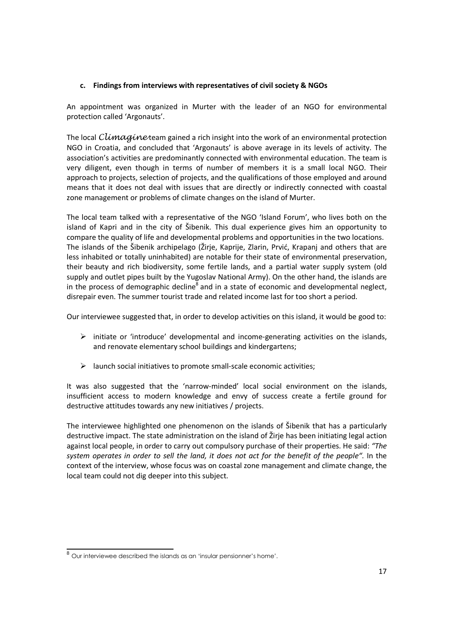# **c. Findings from interviews with representatives of civil society & NGOs**

An appointment was organized in Murter with the leader of an NGO for environmental protection called 'Argonauts'.

The local Climagine team gained a rich insight into the work of an environmental protection NGO in Croatia, and concluded that 'Argonauts' is above average in its levels of activity. The association's activities are predominantly connected with environmental education. The team is very diligent, even though in terms of number of members it is a small local NGO. Their approach to projects, selection of projects, and the qualifications of those employed and around means that it does not deal with issues that are directly or indirectly connected with coastal zone management or problems of climate changes on the island of Murter.

The local team talked with a representative of the NGO 'Island Forum', who lives both on the island of Kapri and in the city of Šibenik. This dual experience gives him an opportunity to compare the quality of life and developmental problems and opportunities in the two locations. The islands of the Šibenik archipelago (Žirje, Kaprije, Zlarin, Prvić, Krapanj and others that are less inhabited or totally uninhabited) are notable for their state of environmental preservation, their beauty and rich biodiversity, some fertile lands, and a partial water supply system (old supply and outlet pipes built by the Yugoslav National Army). On the other hand, the islands are in the process of demographic decline<sup>8</sup> and in a state of economic and developmental neglect, disrepair even. The summer tourist trade and related income last for too short a period.

Our interviewee suggested that, in order to develop activities on this island, it would be good to:

- $\triangleright$  initiate or 'introduce' developmental and income-generating activities on the islands, and renovate elementary school buildings and kindergartens;
- $\triangleright$  launch social initiatives to promote small-scale economic activities;

It was also suggested that the 'narrow-minded' local social environment on the islands, insufficient access to modern knowledge and envy of success create a fertile ground for destructive attitudes towards any new initiatives / projects.

The interviewee highlighted one phenomenon on the islands of Šibenik that has a particularly destructive impact. The state administration on the island of Žirje has been initiating legal action against local people, in order to carry out compulsory purchase of their properties. He said: *"The system operates in order to sell the land, it does not act for the benefit of the people"*. In the context of the interview, whose focus was on coastal zone management and climate change, the local team could not dig deeper into this subject.

 $\overline{a}$  $^8$  Our interviewee described the islands as an 'insular pensionner's home'.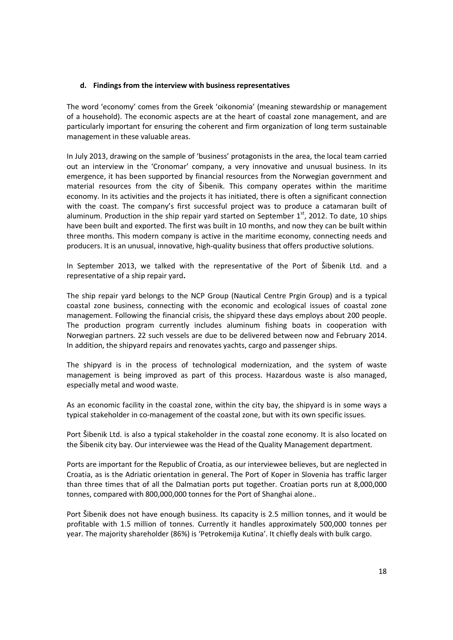#### **d. Findings from the interview with business representatives**

The word 'economy' comes from the Greek 'oikonomia' (meaning stewardship or management of a household). The economic aspects are at the heart of coastal zone management, and are particularly important for ensuring the coherent and firm organization of long term sustainable management in these valuable areas.

In July 2013, drawing on the sample of 'business' protagonists in the area, the local team carried out an interview in the 'Cronomar' company, a very innovative and unusual business. In its emergence, it has been supported by financial resources from the Norwegian government and material resources from the city of Šibenik. This company operates within the maritime economy. In its activities and the projects it has initiated, there is often a significant connection with the coast. The company's first successful project was to produce a catamaran built of aluminum. Production in the ship repair yard started on September  $1<sup>st</sup>$ , 2012. To date, 10 ships have been built and exported. The first was built in 10 months, and now they can be built within three months. This modern company is active in the maritime economy, connecting needs and producers. It is an unusual, innovative, high-quality business that offers productive solutions.

In September 2013, we talked with the representative of the Port of Šibenik Ltd. and a representative of a ship repair yard**.** 

The ship repair yard belongs to the NCP Group (Nautical Centre Prgin Group) and is a typical coastal zone business, connecting with the economic and ecological issues of coastal zone management. Following the financial crisis, the shipyard these days employs about 200 people. The production program currently includes aluminum fishing boats in cooperation with Norwegian partners. 22 such vessels are due to be delivered between now and February 2014. In addition, the shipyard repairs and renovates yachts, cargo and passenger ships.

The shipyard is in the process of technological modernization, and the system of waste management is being improved as part of this process. Hazardous waste is also managed, especially metal and wood waste.

As an economic facility in the coastal zone, within the city bay, the shipyard is in some ways a typical stakeholder in co-management of the coastal zone, but with its own specific issues.

Port Šibenik Ltd. is also a typical stakeholder in the coastal zone economy. It is also located on the Šibenik city bay. Our interviewee was the Head of the Quality Management department.

Ports are important for the Republic of Croatia, as our interviewee believes, but are neglected in Croatia, as is the Adriatic orientation in general. The Port of Koper in Slovenia has traffic larger than three times that of all the Dalmatian ports put together. Croatian ports run at 8,000,000 tonnes, compared with 800,000,000 tonnes for the Port of Shanghai alone..

Port Šibenik does not have enough business. Its capacity is 2.5 million tonnes, and it would be profitable with 1.5 million of tonnes. Currently it handles approximately 500,000 tonnes per year. The majority shareholder (86%) is 'Petrokemija Kutina'. It chiefly deals with bulk cargo.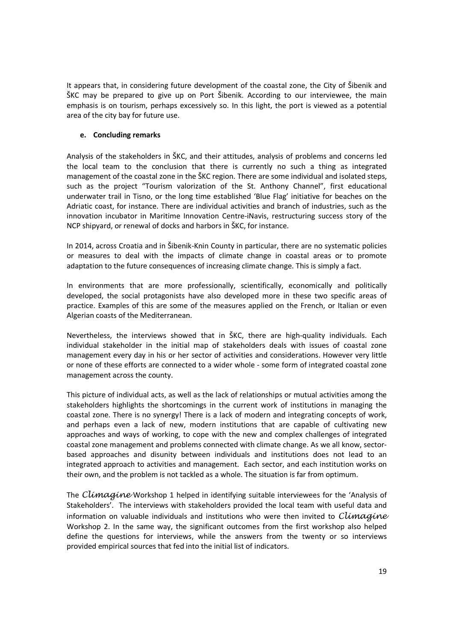It appears that, in considering future development of the coastal zone, the City of Šibenik and ŠKC may be prepared to give up on Port Šibenik. According to our interviewee, the main emphasis is on tourism, perhaps excessively so. In this light, the port is viewed as a potential area of the city bay for future use.

## **e. Concluding remarks**

Analysis of the stakeholders in ŠKC, and their attitudes, analysis of problems and concerns led the local team to the conclusion that there is currently no such a thing as integrated management of the coastal zone in the ŠKC region. There are some individual and isolated steps, such as the project "Tourism valorization of the St. Anthony Channel", first educational underwater trail in Tisno, or the long time established 'Blue Flag' initiative for beaches on the Adriatic coast, for instance. There are individual activities and branch of industries, such as the innovation incubator in Maritime Innovation Centre-iNavis, restructuring success story of the NCP shipyard, or renewal of docks and harbors in ŠKC, for instance.

In 2014, across Croatia and in Šibenik-Knin County in particular, there are no systematic policies or measures to deal with the impacts of climate change in coastal areas or to promote adaptation to the future consequences of increasing climate change. This is simply a fact.

In environments that are more professionally, scientifically, economically and politically developed, the social protagonists have also developed more in these two specific areas of practice. Examples of this are some of the measures applied on the French, or Italian or even Algerian coasts of the Mediterranean.

Nevertheless, the interviews showed that in ŠKC, there are high-quality individuals. Each individual stakeholder in the initial map of stakeholders deals with issues of coastal zone management every day in his or her sector of activities and considerations. However very little or none of these efforts are connected to a wider whole - some form of integrated coastal zone management across the county.

This picture of individual acts, as well as the lack of relationships or mutual activities among the stakeholders highlights the shortcomings in the current work of institutions in managing the coastal zone. There is no synergy! There is a lack of modern and integrating concepts of work, and perhaps even a lack of new, modern institutions that are capable of cultivating new approaches and ways of working, to cope with the new and complex challenges of integrated coastal zone management and problems connected with climate change. As we all know, sectorbased approaches and disunity between individuals and institutions does not lead to an integrated approach to activities and management. Each sector, and each institution works on their own, and the problem is not tackled as a whole. The situation is far from optimum.

The Climagine Workshop 1 helped in identifying suitable interviewees for the 'Analysis of Stakeholders'. The interviews with stakeholders provided the local team with useful data and information on valuable individuals and institutions who were then invited to  $Climaqine$ Workshop 2. In the same way, the significant outcomes from the first workshop also helped define the questions for interviews, while the answers from the twenty or so interviews provided empirical sources that fed into the initial list of indicators.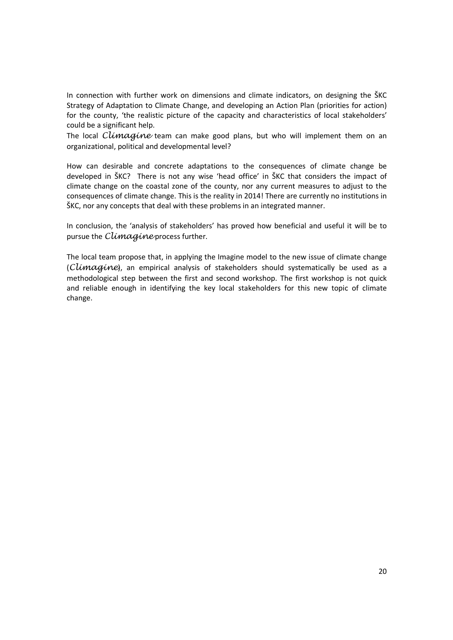In connection with further work on dimensions and climate indicators, on designing the ŠKC Strategy of Adaptation to Climate Change, and developing an Action Plan (priorities for action) for the county, 'the realistic picture of the capacity and characteristics of local stakeholders' could be a significant help.

The local  $C\rightarrow$  The local can make good plans, but who will implement them on an organizational, political and developmental level?

How can desirable and concrete adaptations to the consequences of climate change be developed in ŠKC? There is not any wise 'head office' in ŠKC that considers the impact of climate change on the coastal zone of the county, nor any current measures to adjust to the consequences of climate change. This is the reality in 2014! There are currently no institutions in ŠKC, nor any concepts that deal with these problems in an integrated manner.

In conclusion, the 'analysis of stakeholders' has proved how beneficial and useful it will be to pursue the Climagine process further.

The local team propose that, in applying the Imagine model to the new issue of climate change  $(Climaqine)$ , an empirical analysis of stakeholders should systematically be used as a methodological step between the first and second workshop. The first workshop is not quick and reliable enough in identifying the key local stakeholders for this new topic of climate change.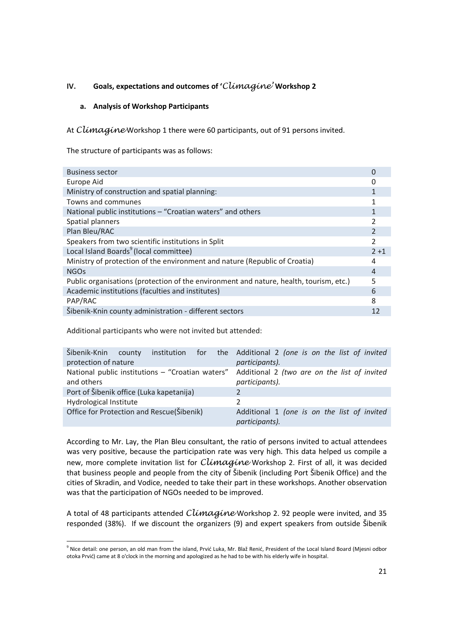# **IV. Goals, expectations and outcomes of '**Climagine' **Workshop 2**

## **a. Analysis of Workshop Participants**

At Climagine Workshop 1 there were 60 participants, out of 91 persons invited.

The structure of participants was as follows:

| <b>Business sector</b>                                                                 |                |
|----------------------------------------------------------------------------------------|----------------|
| Europe Aid                                                                             |                |
| Ministry of construction and spatial planning:                                         |                |
| Towns and communes                                                                     |                |
| National public institutions - "Croatian waters" and others                            |                |
| Spatial planners                                                                       |                |
| Plan Bleu/RAC                                                                          | $\overline{2}$ |
| Speakers from two scientific institutions in Split                                     | 2              |
| Local Island Boards <sup>9</sup> (local committee)                                     | $2 + 1$        |
| Ministry of protection of the environment and nature (Republic of Croatia)             | 4              |
| <b>NGOs</b>                                                                            | 4              |
| Public organisations (protection of the environment and nature, health, tourism, etc.) | 5              |
| Academic institutions (faculties and institutes)                                       | 6              |
| PAP/RAC                                                                                | 8              |
| Šibenik-Knin county administration - different sectors                                 |                |

Additional participants who were not invited but attended:

<u>.</u>

| Šibenik-Knin                              | county |  | institution for the Additional 2 (one is on the list of invited                                                 |
|-------------------------------------------|--------|--|-----------------------------------------------------------------------------------------------------------------|
| protection of nature                      |        |  | participants).                                                                                                  |
| and others                                |        |  | National public institutions - "Croatian waters" Additional 2 (two are on the list of invited<br>participants). |
| Port of Šibenik office (Luka kapetanija)  |        |  |                                                                                                                 |
| Hydrological Institute                    |        |  | $\mathcal{P}$                                                                                                   |
| Office for Protection and Rescue(Šibenik) |        |  | Additional 1 (one is on the list of invited<br>participants).                                                   |

According to Mr. Lay, the Plan Bleu consultant, the ratio of persons invited to actual attendees was very positive, because the participation rate was very high. This data helped us compile a new, more complete invitation list for *Climagine* Workshop 2. First of all, it was decided that business people and people from the city of Šibenik (including Port Šibenik Office) and the cities of Skradin, and Vodice, needed to take their part in these workshops. Another observation was that the participation of NGOs needed to be improved.

A total of 48 participants attended *Climagine* Workshop 2. 92 people were invited, and 35 responded (38%). If we discount the organizers (9) and expert speakers from outside Šibenik

<sup>&</sup>lt;sup>9</sup> Nice detail: one person, an old man from the island, Prvić Luka, Mr. Blaž Renić, President of the Local Island Board (Mjesni odbor otoka Prvić) came at 8 o'clock in the morning and apologized as he had to be with his elderly wife in hospital.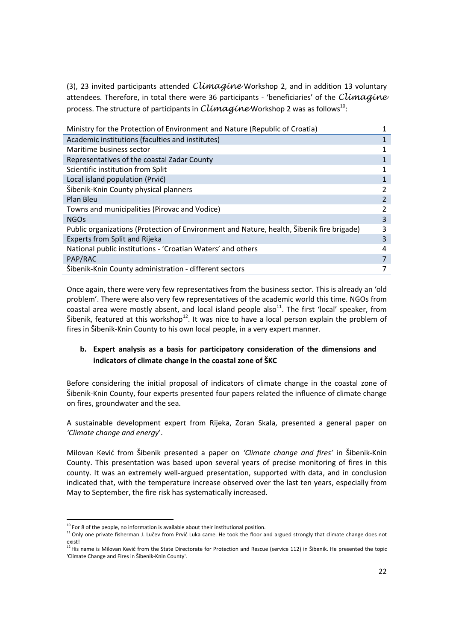(3), 23 invited participants attended  $Climaqine$  Workshop 2, and in addition 13 voluntary attendees. Therefore, in total there were 36 participants - 'beneficiaries' of the Climagine process. The structure of participants in  $\mathit{ClimagineW}$ orkshop 2 was as follows $^{10}$ :

| Ministry for the Protection of Environment and Nature (Republic of Croatia)               |               |
|-------------------------------------------------------------------------------------------|---------------|
| Academic institutions (faculties and institutes)                                          | 1             |
| Maritime business sector                                                                  |               |
| Representatives of the coastal Zadar County                                               |               |
| Scientific institution from Split                                                         |               |
| Local island population (Prvić)                                                           |               |
| Šibenik-Knin County physical planners                                                     | $\mathcal{P}$ |
| Plan Bleu                                                                                 |               |
| Towns and municipalities (Pirovac and Vodice)                                             | 2             |
| <b>NGOs</b>                                                                               | 3             |
| Public organizations (Protection of Environment and Nature, health, Šibenik fire brigade) | 3             |
| Experts from Split and Rijeka                                                             | 3             |
| National public institutions - 'Croatian Waters' and others                               | 4             |
| PAP/RAC                                                                                   | 7             |
| Šibenik-Knin County administration - different sectors                                    |               |

Once again, there were very few representatives from the business sector. This is already an 'old problem'. There were also very few representatives of the academic world this time. NGOs from coastal area were mostly absent, and local island people also<sup>11</sup>. The first 'local' speaker, from Šibenik, featured at this workshop<sup>12</sup>. It was nice to have a local person explain the problem of fires in Šibenik-Knin County to his own local people, in a very expert manner.

# **b. Expert analysis as a basis for participatory consideration of the dimensions and indicators of climate change in the coastal zone of ŠKC**

Before considering the initial proposal of indicators of climate change in the coastal zone of Šibenik-Knin County, four experts presented four papers related the influence of climate change on fires, groundwater and the sea.

A sustainable development expert from Rijeka, Zoran Skala, presented a general paper on *'Climate change and energy*'.

Milovan Kević from Šibenik presented a paper on *'Climate change and fires'* in Šibenik-Knin County. This presentation was based upon several years of precise monitoring of fires in this county. It was an extremely well-argued presentation, supported with data, and in conclusion indicated that, with the temperature increase observed over the last ten years, especially from May to September, the fire risk has systematically increased.

<u>.</u>

 $10$  For 8 of the people, no information is available about their institutional position.

<sup>&</sup>lt;sup>11</sup> Only one private fisherman J. Lučev from Prvić Luka came. He took the floor and argued strongly that climate change does not exist!

<sup>12</sup>His name is Milovan Kević from the State Directorate for Protection and Rescue (service 112) in Šibenik. He presented the topic 'Climate Change and Fires in Šibenik-Knin County'.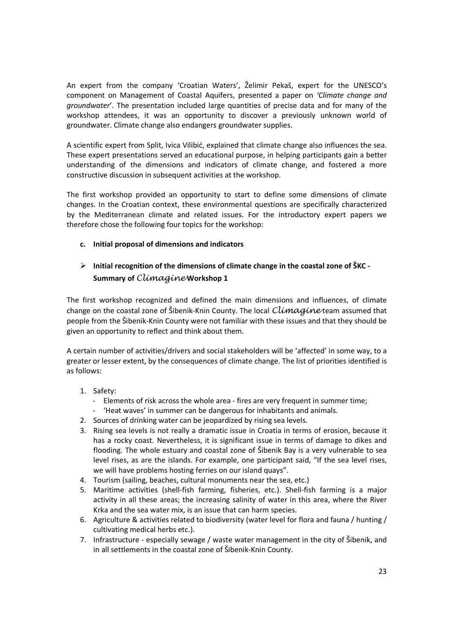An expert from the company 'Croatian Waters', Želimir Pekaš, expert for the UNESCO's component on Management of Coastal Aquifers, presented a paper on *'Climate change and groundwater*'. The presentation included large quantities of precise data and for many of the workshop attendees, it was an opportunity to discover a previously unknown world of groundwater. Climate change also endangers groundwater supplies.

A scientific expert from Split, Ivica Vilibić, explained that climate change also influences the sea. These expert presentations served an educational purpose, in helping participants gain a better understanding of the dimensions and indicators of climate change, and fostered a more constructive discussion in subsequent activities at the workshop.

The first workshop provided an opportunity to start to define some dimensions of climate changes. In the Croatian context, these environmental questions are specifically characterized by the Mediterranean climate and related issues. For the introductory expert papers we therefore chose the following four topics for the workshop:

# **c. Initial proposal of dimensions and indicators**

# **Initial recognition of the dimensions of climate change in the coastal zone of ŠKC - Summary of** Climagine **Workshop 1**

The first workshop recognized and defined the main dimensions and influences, of climate change on the coastal zone of Šibenik-Knin County. The local  $Cl$ *imagine* team assumed that people from the Šibenik-Knin County were not familiar with these issues and that they should be given an opportunity to reflect and think about them.

A certain number of activities/drivers and social stakeholders will be 'affected' in some way, to a greater or lesser extent, by the consequences of climate change. The list of priorities identified is as follows:

# 1. Safety:

- Elements of risk across the whole area fires are very frequent in summer time;
- 'Heat waves' in summer can be dangerous for inhabitants and animals.
- 2. Sources of drinking water can be jeopardized by rising sea levels.
- 3. Rising sea levels is not really a dramatic issue in Croatia in terms of erosion, because it has a rocky coast. Nevertheless, it is significant issue in terms of damage to dikes and flooding. The whole estuary and coastal zone of Šibenik Bay is a very vulnerable to sea level rises, as are the islands. For example, one participant said, "If the sea level rises, we will have problems hosting ferries on our island quays".
- 4. Tourism (sailing, beaches, cultural monuments near the sea, etc.)
- 5. Maritime activities (shell-fish farming, fisheries, etc.). Shell-fish farming is a major activity in all these areas; the increasing salinity of water in this area, where the River Krka and the sea water mix, is an issue that can harm species.
- 6. Agriculture & activities related to biodiversity (water level for flora and fauna / hunting / cultivating medical herbs etc.).
- 7. Infrastructure especially sewage / waste water management in the city of Šibenik, and in all settlements in the coastal zone of Šibenik-Knin County.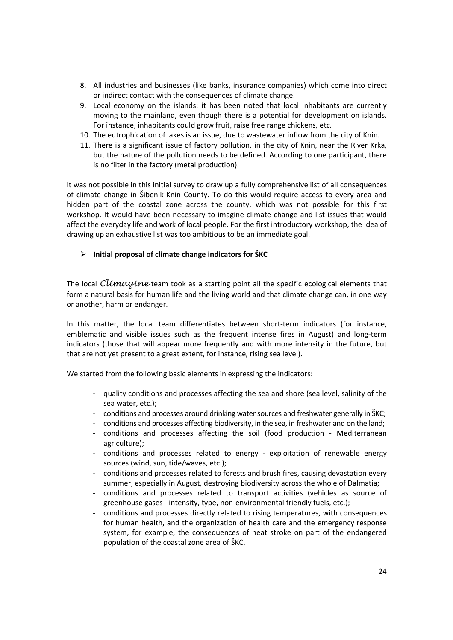- 8. All industries and businesses (like banks, insurance companies) which come into direct or indirect contact with the consequences of climate change.
- 9. Local economy on the islands: it has been noted that local inhabitants are currently moving to the mainland, even though there is a potential for development on islands. For instance, inhabitants could grow fruit, raise free range chickens, etc.
- 10. The eutrophication of lakes is an issue, due to wastewater inflow from the city of Knin.
- 11. There is a significant issue of factory pollution, in the city of Knin, near the River Krka, but the nature of the pollution needs to be defined. According to one participant, there is no filter in the factory (metal production).

It was not possible in this initial survey to draw up a fully comprehensive list of all consequences of climate change in Šibenik-Knin County. To do this would require access to every area and hidden part of the coastal zone across the county, which was not possible for this first workshop. It would have been necessary to imagine climate change and list issues that would affect the everyday life and work of local people. For the first introductory workshop, the idea of drawing up an exhaustive list was too ambitious to be an immediate goal.

#### **Initial proposal of climate change indicators for ŠKC**

The local Climagine team took as a starting point all the specific ecological elements that form a natural basis for human life and the living world and that climate change can, in one way or another, harm or endanger.

In this matter, the local team differentiates between short-term indicators (for instance, emblematic and visible issues such as the frequent intense fires in August) and long-term indicators (those that will appear more frequently and with more intensity in the future, but that are not yet present to a great extent, for instance, rising sea level).

We started from the following basic elements in expressing the indicators:

- quality conditions and processes affecting the sea and shore (sea level, salinity of the sea water, etc.);
- conditions and processes around drinking water sources and freshwater generally in ŠKC;
- conditions and processes affecting biodiversity, in the sea, in freshwater and on the land;
- conditions and processes affecting the soil (food production Mediterranean agriculture);
- conditions and processes related to energy exploitation of renewable energy sources (wind, sun, tide/waves, etc.);
- conditions and processes related to forests and brush fires, causing devastation every summer, especially in August, destroying biodiversity across the whole of Dalmatia;
- conditions and processes related to transport activities (vehicles as source of greenhouse gases - intensity, type, non-environmental friendly fuels, etc.);
- conditions and processes directly related to rising temperatures, with consequences for human health, and the organization of health care and the emergency response system, for example, the consequences of heat stroke on part of the endangered population of the coastal zone area of ŠKC.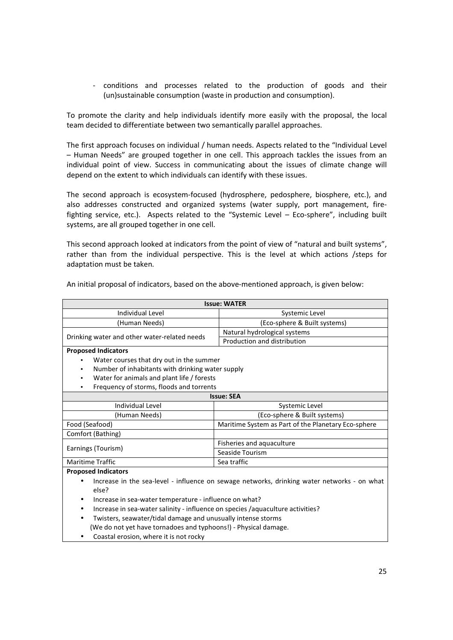- conditions and processes related to the production of goods and their (un)sustainable consumption (waste in production and consumption).

To promote the clarity and help individuals identify more easily with the proposal, the local team decided to differentiate between two semantically parallel approaches.

The first approach focuses on individual / human needs. Aspects related to the "Individual Level – Human Needs" are grouped together in one cell. This approach tackles the issues from an individual point of view. Success in communicating about the issues of climate change will depend on the extent to which individuals can identify with these issues.

The second approach is ecosystem-focused (hydrosphere, pedosphere, biosphere, etc.), and also addresses constructed and organized systems (water supply, port management, firefighting service, etc.). Aspects related to the "Systemic Level – Eco-sphere", including built systems, are all grouped together in one cell.

This second approach looked at indicators from the point of view of "natural and built systems", rather than from the individual perspective. This is the level at which actions /steps for adaptation must be taken.

| <b>Issue: WATER</b>                                                                         |                                                     |  |  |  |
|---------------------------------------------------------------------------------------------|-----------------------------------------------------|--|--|--|
| Individual Level                                                                            | Systemic Level                                      |  |  |  |
| (Human Needs)                                                                               | (Eco-sphere & Built systems)                        |  |  |  |
|                                                                                             | Natural hydrological systems                        |  |  |  |
| Drinking water and other water-related needs                                                | Production and distribution                         |  |  |  |
| <b>Proposed Indicators</b>                                                                  |                                                     |  |  |  |
| Water courses that dry out in the summer                                                    |                                                     |  |  |  |
| Number of inhabitants with drinking water supply                                            |                                                     |  |  |  |
| Water for animals and plant life / forests                                                  |                                                     |  |  |  |
| Frequency of storms, floods and torrents                                                    |                                                     |  |  |  |
| <b>Issue: SEA</b>                                                                           |                                                     |  |  |  |
| Individual Level                                                                            | Systemic Level                                      |  |  |  |
| (Human Needs)                                                                               | (Eco-sphere & Built systems)                        |  |  |  |
| Food (Seafood)                                                                              | Maritime System as Part of the Planetary Eco-sphere |  |  |  |
| Comfort (Bathing)                                                                           |                                                     |  |  |  |
|                                                                                             | Fisheries and aquaculture                           |  |  |  |
| Earnings (Tourism)                                                                          | Seaside Tourism                                     |  |  |  |
| <b>Maritime Traffic</b>                                                                     | Sea traffic                                         |  |  |  |
| <b>Proposed Indicators</b>                                                                  |                                                     |  |  |  |
| Increase in the sea-level - influence on sewage networks, drinking water networks - on what |                                                     |  |  |  |
| else?                                                                                       |                                                     |  |  |  |

An initial proposal of indicators, based on the above-mentioned approach, is given below:

- Increase in sea-water temperature influence on what?
- Increase in sea-water salinity influence on species /aquaculture activities?
- Twisters, seawater/tidal damage and unusually intense storms (We do not yet have tornadoes and typhoons!) - Physical damage.
- Coastal erosion, where it is not rocky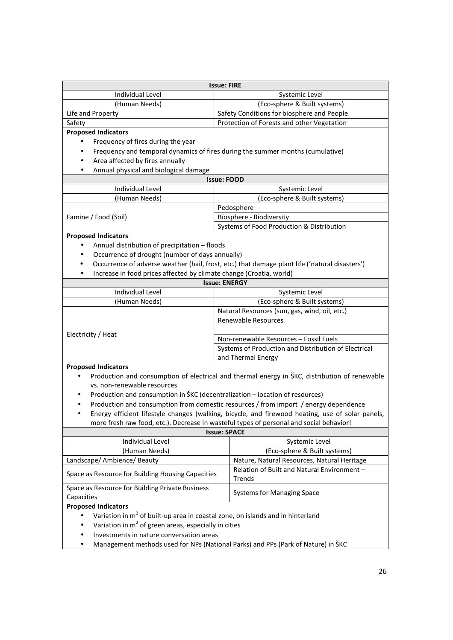| <b>Issue: FIRE</b>                                                                                             |                                                                                                                                                                                          |  |  |  |  |
|----------------------------------------------------------------------------------------------------------------|------------------------------------------------------------------------------------------------------------------------------------------------------------------------------------------|--|--|--|--|
| Individual Level                                                                                               | Systemic Level                                                                                                                                                                           |  |  |  |  |
| (Human Needs)                                                                                                  | (Eco-sphere & Built systems)                                                                                                                                                             |  |  |  |  |
| Life and Property                                                                                              | Safety Conditions for biosphere and People                                                                                                                                               |  |  |  |  |
| Safety                                                                                                         | Protection of Forests and other Vegetation                                                                                                                                               |  |  |  |  |
| <b>Proposed Indicators</b>                                                                                     |                                                                                                                                                                                          |  |  |  |  |
| Frequency of fires during the year                                                                             |                                                                                                                                                                                          |  |  |  |  |
|                                                                                                                | Frequency and temporal dynamics of fires during the summer months (cumulative)                                                                                                           |  |  |  |  |
| Area affected by fires annually<br>$\bullet$                                                                   |                                                                                                                                                                                          |  |  |  |  |
| Annual physical and biological damage<br>٠                                                                     |                                                                                                                                                                                          |  |  |  |  |
|                                                                                                                | <b>Issue: FOOD</b>                                                                                                                                                                       |  |  |  |  |
| <b>Individual Level</b>                                                                                        | Systemic Level                                                                                                                                                                           |  |  |  |  |
| (Human Needs)                                                                                                  | (Eco-sphere & Built systems)                                                                                                                                                             |  |  |  |  |
|                                                                                                                | Pedosphere                                                                                                                                                                               |  |  |  |  |
| Famine / Food (Soil)                                                                                           | Biosphere - Biodiversity                                                                                                                                                                 |  |  |  |  |
|                                                                                                                | Systems of Food Production & Distribution                                                                                                                                                |  |  |  |  |
| <b>Proposed Indicators</b>                                                                                     |                                                                                                                                                                                          |  |  |  |  |
| Annual distribution of precipitation - floods                                                                  |                                                                                                                                                                                          |  |  |  |  |
| Occurrence of drought (number of days annually)                                                                |                                                                                                                                                                                          |  |  |  |  |
| ٠                                                                                                              | Occurrence of adverse weather (hail, frost, etc.) that damage plant life ('natural disasters')                                                                                           |  |  |  |  |
| Increase in food prices affected by climate change (Croatia, world)<br>٠                                       |                                                                                                                                                                                          |  |  |  |  |
|                                                                                                                | <b>Issue: ENERGY</b>                                                                                                                                                                     |  |  |  |  |
| Individual Level                                                                                               | Systemic Level                                                                                                                                                                           |  |  |  |  |
| (Human Needs)                                                                                                  | (Eco-sphere & Built systems)                                                                                                                                                             |  |  |  |  |
|                                                                                                                | Natural Resources (sun, gas, wind, oil, etc.)                                                                                                                                            |  |  |  |  |
|                                                                                                                | Renewable Resources                                                                                                                                                                      |  |  |  |  |
| Electricity / Heat                                                                                             |                                                                                                                                                                                          |  |  |  |  |
|                                                                                                                | Non-renewable Resources - Fossil Fuels                                                                                                                                                   |  |  |  |  |
|                                                                                                                | Systems of Production and Distribution of Electrical                                                                                                                                     |  |  |  |  |
|                                                                                                                | and Thermal Energy                                                                                                                                                                       |  |  |  |  |
| <b>Proposed Indicators</b>                                                                                     |                                                                                                                                                                                          |  |  |  |  |
| $\bullet$                                                                                                      | Production and consumption of electrical and thermal energy in ŠKC, distribution of renewable                                                                                            |  |  |  |  |
| vs. non-renewable resources                                                                                    |                                                                                                                                                                                          |  |  |  |  |
| Production and consumption in ŠKC (decentralization - location of resources)<br>٠                              |                                                                                                                                                                                          |  |  |  |  |
| $\bullet$                                                                                                      | Production and consumption from domestic resources / from import / energy dependence<br>Energy efficient lifestyle changes (walking, bicycle, and firewood heating, use of solar panels, |  |  |  |  |
| $\bullet$                                                                                                      |                                                                                                                                                                                          |  |  |  |  |
| more fresh raw food, etc.). Decrease in wasteful types of personal and social behavior!<br><b>Issue: SPACE</b> |                                                                                                                                                                                          |  |  |  |  |
| Individual Level                                                                                               | Systemic Level                                                                                                                                                                           |  |  |  |  |
| (Human Needs)                                                                                                  | (Eco-sphere & Built systems)                                                                                                                                                             |  |  |  |  |
| Landscape/ Ambience/ Beauty                                                                                    | Nature, Natural Resources, Natural Heritage                                                                                                                                              |  |  |  |  |
|                                                                                                                | Relation of Built and Natural Environment -                                                                                                                                              |  |  |  |  |
| Space as Resource for Building Housing Capacities                                                              | Trends                                                                                                                                                                                   |  |  |  |  |
| Space as Resource for Building Private Business                                                                |                                                                                                                                                                                          |  |  |  |  |
| Capacities                                                                                                     | <b>Systems for Managing Space</b>                                                                                                                                                        |  |  |  |  |
| <b>Proposed Indicators</b>                                                                                     |                                                                                                                                                                                          |  |  |  |  |
| Variation in m <sup>2</sup> of built-up area in coastal zone, on islands and in hinterland                     |                                                                                                                                                                                          |  |  |  |  |
| Variation in $m^2$ of green areas, especially in cities                                                        |                                                                                                                                                                                          |  |  |  |  |
| Investments in nature conversation areas                                                                       |                                                                                                                                                                                          |  |  |  |  |

- 
- Management methods used for NPs (National Parks) and PPs (Park of Nature) in ŠKC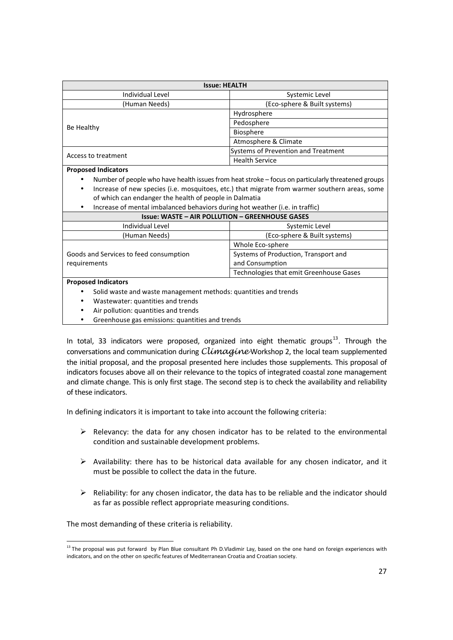| <b>Issue: HEALTH</b>                                                                               |                                         |  |  |  |
|----------------------------------------------------------------------------------------------------|-----------------------------------------|--|--|--|
| Individual Level                                                                                   | Systemic Level                          |  |  |  |
| (Human Needs)                                                                                      | (Eco-sphere & Built systems)            |  |  |  |
|                                                                                                    | Hydrosphere                             |  |  |  |
|                                                                                                    | Pedosphere                              |  |  |  |
| Be Healthy                                                                                         | Biosphere                               |  |  |  |
|                                                                                                    | Atmosphere & Climate                    |  |  |  |
| Access to treatment                                                                                | Systems of Prevention and Treatment     |  |  |  |
|                                                                                                    | <b>Health Service</b>                   |  |  |  |
| <b>Proposed Indicators</b>                                                                         |                                         |  |  |  |
| Number of people who have health issues from heat stroke - focus on particularly threatened groups |                                         |  |  |  |
| Increase of new species (i.e. mosquitoes, etc.) that migrate from warmer southern areas, some      |                                         |  |  |  |
| of which can endanger the health of people in Dalmatia                                             |                                         |  |  |  |
| Increase of mental imbalanced behaviors during hot weather (i.e. in traffic)                       |                                         |  |  |  |
| <b>Issue: WASTE - AIR POLLUTION - GREENHOUSE GASES</b>                                             |                                         |  |  |  |
| Individual Level                                                                                   | Systemic Level                          |  |  |  |
| (Human Needs)                                                                                      | (Eco-sphere & Built systems)            |  |  |  |
|                                                                                                    | Whole Eco-sphere                        |  |  |  |
| Goods and Services to feed consumption                                                             | Systems of Production, Transport and    |  |  |  |
| requirements                                                                                       | and Consumption                         |  |  |  |
|                                                                                                    | Technologies that emit Greenhouse Gases |  |  |  |
| <b>Proposed Indicators</b>                                                                         |                                         |  |  |  |
| Solid waste and waste management methods: quantities and trends                                    |                                         |  |  |  |
| Wastewater: quantities and trends                                                                  |                                         |  |  |  |
| Air pollution: quantities and trends                                                               |                                         |  |  |  |
| Greenhouse gas emissions: quantities and trends<br>٠                                               |                                         |  |  |  |

In total, 33 indicators were proposed, organized into eight thematic groups<sup>13</sup>. Through the conversations and communication during *Climagine* Workshop 2, the local team supplemented the initial proposal, and the proposal presented here includes those supplements. This proposal of indicators focuses above all on their relevance to the topics of integrated coastal zone management and climate change. This is only first stage. The second step is to check the availability and reliability of these indicators.

In defining indicators it is important to take into account the following criteria:

- $\triangleright$  Relevancy: the data for any chosen indicator has to be related to the environmental condition and sustainable development problems.
- $\triangleright$  Availability: there has to be historical data available for any chosen indicator, and it must be possible to collect the data in the future.
- $\triangleright$  Reliability: for any chosen indicator, the data has to be reliable and the indicator should as far as possible reflect appropriate measuring conditions.

The most demanding of these criteria is reliability.

<u>.</u>

<sup>&</sup>lt;sup>13</sup> The proposal was put forward by Plan Blue consultant Ph D.Vladimir Lay, based on the one hand on foreign experiences with indicators, and on the other on specific features of Mediterranean Croatia and Croatian society.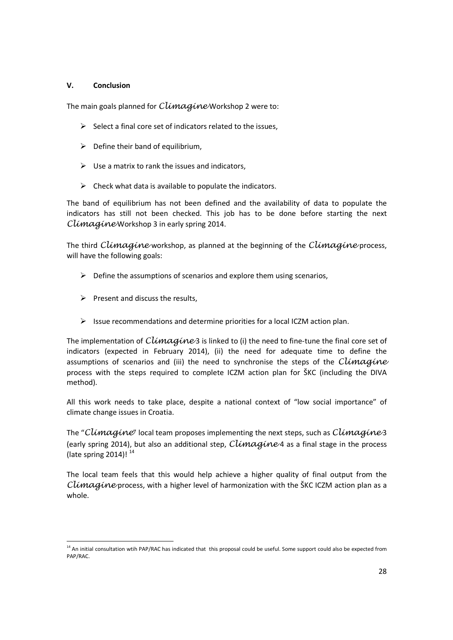## **V. Conclusion**

The main goals planned for Climagine Workshop 2 were to:

- $\triangleright$  Select a final core set of indicators related to the issues.
- $\triangleright$  Define their band of equilibrium,
- $\triangleright$  Use a matrix to rank the issues and indicators,
- $\triangleright$  Check what data is available to populate the indicators.

The band of equilibrium has not been defined and the availability of data to populate the indicators has still not been checked. This job has to be done before starting the next Climagine Workshop 3 in early spring 2014.

The third Climagine workshop, as planned at the beginning of the Climagine process, will have the following goals:

- $\triangleright$  Define the assumptions of scenarios and explore them using scenarios,
- $\triangleright$  Present and discuss the results,

<u>.</u>

 $\triangleright$  Issue recommendations and determine priorities for a local ICZM action plan.

The implementation of  $Climaqine3$  is linked to (i) the need to fine-tune the final core set of indicators (expected in February 2014), (ii) the need for adequate time to define the assumptions of scenarios and (iii) the need to synchronise the steps of the  $Climaqine$ process with the steps required to complete ICZM action plan for ŠKC (including the DIVA method).

All this work needs to take place, despite a national context of "low social importance" of climate change issues in Croatia.

The "Climagine" local team proposes implementing the next steps, such as  $Climaqine3$ (early spring 2014), but also an additional step,  $Climaqine4$  as a final stage in the process (late spring  $2014$ )!<sup>14</sup>

The local team feels that this would help achieve a higher quality of final output from the Climagine process, with a higher level of harmonization with the SKC ICZM action plan as a whole.

<sup>&</sup>lt;sup>14</sup> An initial consultation wtih PAP/RAC has indicated that this proposal could be useful. Some support could also be expected from PAP/RAC.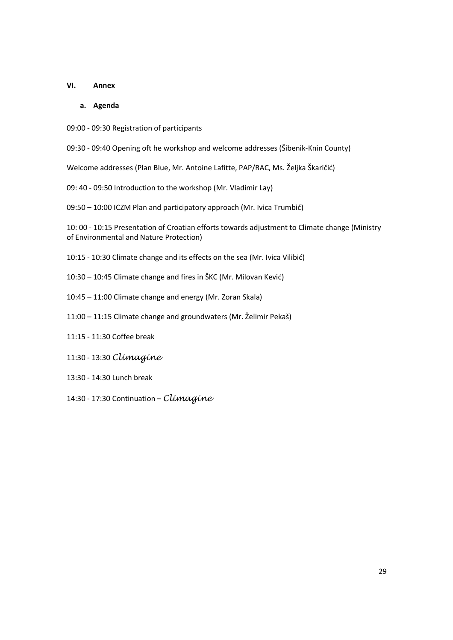#### **VI. Annex**

#### **a. Agenda**

- 09:00 09:30 Registration of participants
- 09:30 09:40 Opening oft he workshop and welcome addresses (Šibenik-Knin County)
- Welcome addresses (Plan Blue, Mr. Antoine Lafitte, PAP/RAC, Ms. Željka Škaričić)
- 09: 40 09:50 Introduction to the workshop (Mr. Vladimir Lay)
- 09:50 10:00 ICZM Plan and participatory approach (Mr. Ivica Trumbić)

10: 00 - 10:15 Presentation of Croatian efforts towards adjustment to Climate change (Ministry of Environmental and Nature Protection)

- 10:15 10:30 Climate change and its effects on the sea (Mr. Ivica Vilibić)
- 10:30 10:45 Climate change and fires in ŠKC (Mr. Milovan Kević)
- 10:45 11:00 Climate change and energy (Mr. Zoran Skala)
- 11:00 11:15 Climate change and groundwaters (Mr. Želimir Pekaš)
- 11:15 11:30 Coffee break
- 11:30 13:30 Climagine
- 13:30 14:30 Lunch break
- 14:30 17:30 Continuation Climagine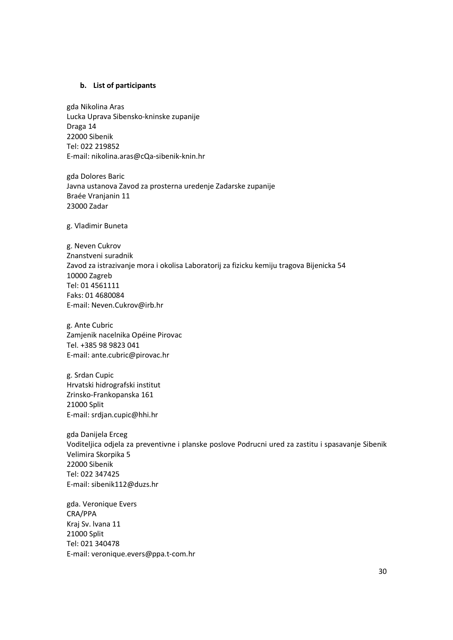#### **b. List of participants**

gda Nikolina Aras Lucka Uprava Sibensko-kninske zupanije Draga 14 22000 Sibenik Tel: 022 219852 E-mail: nikolina.aras@cQa-sibenik-knin.hr

gda Dolores Baric Javna ustanova Zavod za prosterna uredenje Zadarske zupanije Braée Vranjanin 11 23000 Zadar

g. Vladimir Buneta

g. Neven Cukrov Znanstveni suradnik Zavod za istrazivanje mora i okolisa Laboratorij za fizicku kemiju tragova Bijenicka 54 10000 Zagreb Tel: 01 4561111 Faks: 01 4680084 E-mail: Neven.Cukrov@irb.hr

g. Ante Cubric Zamjenik nacelnika Opéine Pirovac Tel. +385 98 9823 041 E-mail: ante.cubric@pirovac.hr

g. Srdan Cupic Hrvatski hidrografski institut Zrinsko-Frankopanska 161 21000 Split E-mail: srdjan.cupic@hhi.hr

gda Danijela Erceg Voditeljica odjela za preventivne i planske poslove Podrucni ured za zastitu i spasavanje Sibenik Velimira Skorpika 5 22000 Sibenik Tel: 022 347425 E-mail: sibenik112@duzs.hr

gda. Veronique Evers CRA/PPA Kraj Sv. lvana 11 21000 Split Tel: 021 340478 E-mail: veronique.evers@ppa.t-com.hr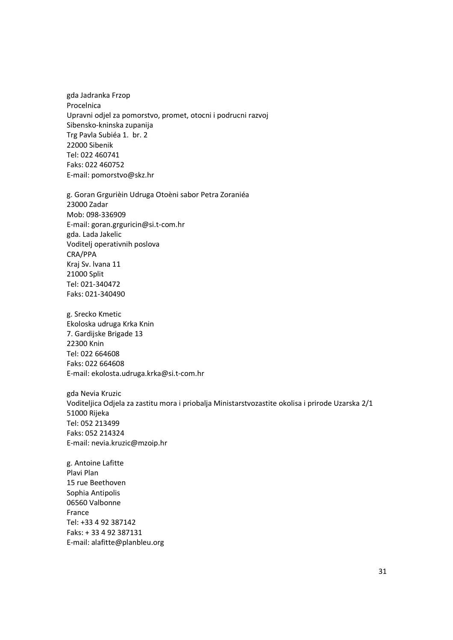gda Jadranka Frzop Procelnica Upravni odjel za pomorstvo, promet, otocni i podrucni razvoj Sibensko-kninska zupanija Trg Pavla Subiéa 1. br. 2 22000 Sibenik Tel: 022 460741 Faks: 022 460752 E-mail: pomorstvo@skz.hr

g. Goran Grgurièin Udruga Otoèni sabor Petra Zoraniéa 23000 Zadar Mob: 098-336909 E-mail: goran.grguricin@si.t-com.hr gda. Lada Jakelic Voditelj operativnih poslova CRA/PPA Kraj Sv. lvana 11 21000 Split Tel: 021-340472 Faks: 021-340490

g. Srecko Kmetic Ekoloska udruga Krka Knin 7. Gardijske Brigade 13 22300 Knin Tel: 022 664608 Faks: 022 664608 E-mail: ekolosta.udruga.krka@si.t-com.hr

gda Nevia Kruzic Voditeljica Odjela za zastitu mora i priobalja Ministarstvozastite okolisa i prirode Uzarska 2/1 51000 Rijeka Tel: 052 213499 Faks: 052 214324 E-mail: nevia.kruzic@mzoip.hr

g. Antoine Lafitte Plavi Plan 15 rue Beethoven Sophia Antipolis 06560 Valbonne France Tel: +33 4 92 387142 Faks: + 33 4 92 387131 E-mail: alafitte@planbleu.org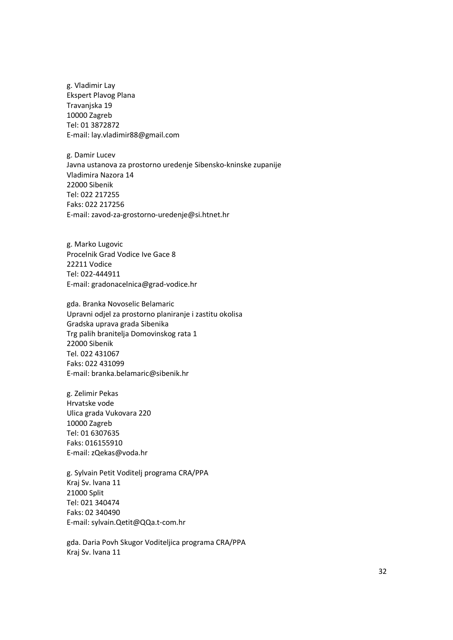g. Vladimir Lay Ekspert Plavog Plana Travanjska 19 10000 Zagreb Tel: 01 3872872 E-mail: lay.vladimir88@gmail.com

g. Damir Lucev Javna ustanova za prostorno uredenje Sibensko-kninske zupanije Vladimira Nazora 14 22000 Sibenik Tel: 022 217255 Faks: 022 217256 E-mail: zavod-za-grostorno-uredenje@si.htnet.hr

g. Marko Lugovic Procelnik Grad Vodice Ive Gace 8 22211 Vodice Tel: 022-444911 E-mail: gradonacelnica@grad-vodice.hr

gda. Branka Novoselic Belamaric Upravni odjel za prostorno planiranje i zastitu okolisa Gradska uprava grada Sibenika Trg palih branitelja Domovinskog rata 1 22000 Sibenik Tel. 022 431067 Faks: 022 431099 E-mail: branka.belamaric@sibenik.hr

g. Zelimir Pekas Hrvatske vode Ulica grada Vukovara 220 10000 Zagreb Tel: 01 6307635 Faks: 016155910 E-mail: zQekas@voda.hr

g. Sylvain Petit Voditelj programa CRA/PPA Kraj Sv. lvana 11 21000 Split Tel: 021 340474 Faks: 02 340490 E-mail: sylvain.Qetit@QQa.t-com.hr

gda. Daria Povh Skugor Voditeljica programa CRA/PPA Kraj Sv. lvana 11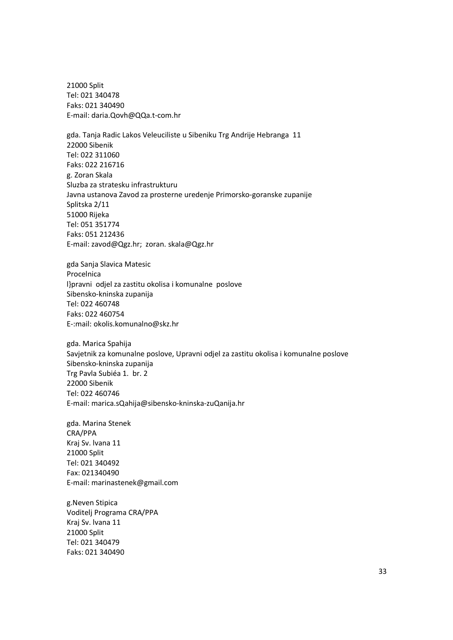21000 Split Tel: 021 340478 Faks: 021 340490 E-mail: daria.Qovh@QQa.t-com.hr

gda. Tanja Radic Lakos Veleuciliste u Sibeniku Trg Andrije Hebranga 11 22000 Sibenik Tel: 022 311060 Faks: 022 216716 g. Zoran Skala Sluzba za stratesku infrastrukturu Javna ustanova Zavod za prosterne uredenje Primorsko-goranske zupanije Splitska 2/11 51000 Rijeka Tel: 051 351774 Faks: 051 212436 E-mail: zavod@Qgz.hr; zoran. skala@Qgz.hr

gda Sanja Slavica Matesic Procelnica l}pravni odjel za zastitu okolisa i komunalne poslove Sibensko-kninska zupanija Tel: 022 460748 Faks: 022 460754 E-:mail: okolis.komunalno@skz.hr

gda. Marica Spahija Savjetnik za komunalne poslove, Upravni odjel za zastitu okolisa i komunalne poslove Sibensko-kninska zupanija Trg Pavla Subiéa 1. br. 2 22000 Sibenik Tel: 022 460746 E-mail: marica.sQahija@sibensko-kninska-zuQanija.hr

gda. Marina Stenek CRA/PPA Kraj Sv. lvana 11 21000 Split Tel: 021 340492 Fax: 021340490 E-mail: marinastenek@gmail.com

g.Neven Stipica Voditelj Programa CRA/PPA Kraj Sv. lvana 11 21000 Split Tel: 021 340479 Faks: 021 340490